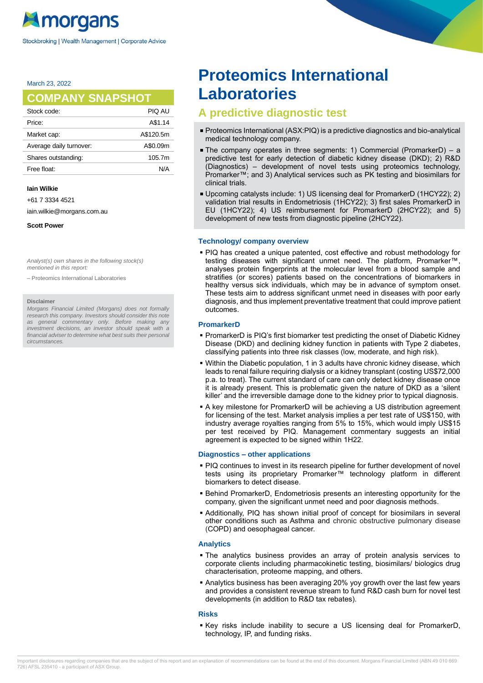March 23, 2022

# **COMPANY SNAPSHOT**

| Stock code:             | PIQ AU    |
|-------------------------|-----------|
| Price:                  | A\$1.14   |
| Market cap:             | A\$120.5m |
| Average daily turnover: | A\$0.09m  |
| Shares outstanding:     | 105.7m    |
| Free float:             | N/A       |
|                         |           |

#### **Iain Wilkie**

+61 7 3334 4521

iain.wilkie@morgans.com.au

**Scott Power**

Analyst(s) own shares in the following stock(s) mentioned in this report:

– Proteomics International Laboratories

#### **Disclaimer**

Morgans Financial Limited (Morgans) does not formally research this company. Investors should consider this note as general commentary only. Before making any investment decisions, an investor should speak with a financial adviser to determine what best suits their personal circumstances.

# **Proteomics International Laboratories**

# **A predictive diagnostic test**

- Proteomics International (ASX:PIQ) is a predictive diagnostics and bio-analytical medical technology company.
- The company operates in three segments: 1) Commercial (PromarkerD) a predictive test for early detection of diabetic kidney disease (DKD); 2) R&D (Diagnostics) – development of novel tests using proteomics technology, Promarker™; and 3) Analytical services such as PK testing and biosimilars for clinical trials.
- Upcoming catalysts include: 1) US licensing deal for PromarkerD (1HCY22); 2) validation trial results in Endometriosis (1HCY22); 3) first sales PromarkerD in EU (1HCY22); 4) US reimbursement for PromarkerD (2HCY22); and 5) development of new tests from diagnostic pipeline (2HCY22).

## **Technology/ company overview**

■ PIQ has created a unique patented, cost effective and robust methodology for testing diseases with significant unmet need. The platform, Promarker™, analyses protein fingerprints at the molecular level from a blood sample and stratifies (or scores) patients based on the concentrations of biomarkers in healthy versus sick individuals, which may be in advance of symptom onset. These tests aim to address significant unmet need in diseases with poor early diagnosis, and thus implement preventative treatment that could improve patient outcomes.

# **PromarkerD**

- PromarkerD is PIQ's first biomarker test predicting the onset of Diabetic Kidney Disease (DKD) and declining kidney function in patients with Type 2 diabetes, classifying patients into three risk classes (low, moderate, and high risk).
- Within the Diabetic population, 1 in 3 adults have chronic kidney disease, which leads to renal failure requiring dialysis or a kidney transplant (costing US\$72,000 p.a. to treat). The current standard of care can only detect kidney disease once it is already present. This is problematic given the nature of DKD as a 'silent killer' and the irreversible damage done to the kidney prior to typical diagnosis.
- A key milestone for PromarkerD will be achieving a US distribution agreement for licensing of the test. Market analysis implies a per test rate of US\$150, with industry average royalties ranging from 5% to 15%, which would imply US\$15 per test received by PIQ. Management commentary suggests an initial agreement is expected to be signed within 1H22.

# **Diagnostics – other applications**

- PIQ continues to invest in its research pipeline for further development of novel tests using its proprietary Promarker™ technology platform in different biomarkers to detect disease.
- Behind PromarkerD, Endometriosis presents an interesting opportunity for the company, given the significant unmet need and poor diagnosis methods.
- Additionally, PIQ has shown initial proof of concept for biosimilars in several other conditions such as Asthma and chronic obstructive pulmonary disease (COPD) and oesophageal cancer.

# **Analytics**

- The analytics business provides an array of protein analysis services to corporate clients including pharmacokinetic testing, biosimilars/ biologics drug characterisation, proteome mapping, and others.
- **.** Analytics business has been averaging 20% yoy growth over the last few years and provides a consistent revenue stream to fund R&D cash burn for novel test developments (in addition to R&D tax rebates).

# **Risks**

▪ Key risks include inability to secure a US licensing deal for PromarkerD, technology, IP, and funding risks.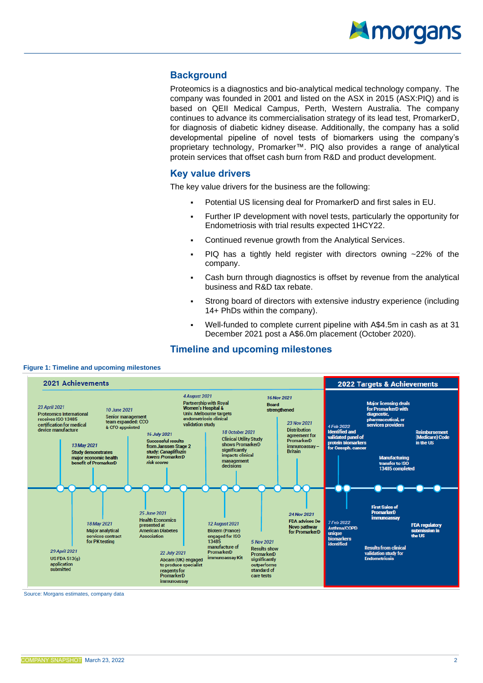

# **Background**

Proteomics is a diagnostics and bio-analytical medical technology company. The company was founded in 2001 and listed on the ASX in 2015 (ASX:PIQ) and is based on QEII Medical Campus, Perth, Western Australia. The company continues to advance its commercialisation strategy of its lead test, PromarkerD, for diagnosis of diabetic kidney disease. Additionally, the company has a solid developmental pipeline of novel tests of biomarkers using the company's proprietary technology, Promarker™. PIQ also provides a range of analytical protein services that offset cash burn from R&D and product development.

# **Key value drivers**

The key value drivers for the business are the following:

- Potential US licensing deal for PromarkerD and first sales in EU.
- **EUREADER IP DEVELOPMENTY** with novel tests, particularly the opportunity for Endometriosis with trial results expected 1HCY22.
- Continued revenue growth from the Analytical Services.
- $\blacksquare$  PIQ has a tightly held register with directors owning  $\sim$ 22% of the company.
- Cash burn through diagnostics is offset by revenue from the analytical business and R&D tax rebate.
- Strong board of directors with extensive industry experience (including 14+ PhDs within the company).
- Well-funded to complete current pipeline with A\$4.5m in cash as at 31 December 2021 post a A\$6.0m placement (October 2020).

# **Timeline and upcoming milestones**



Source: Morgans estimates, company data

**Figure 1: Timeline and upcoming milestones**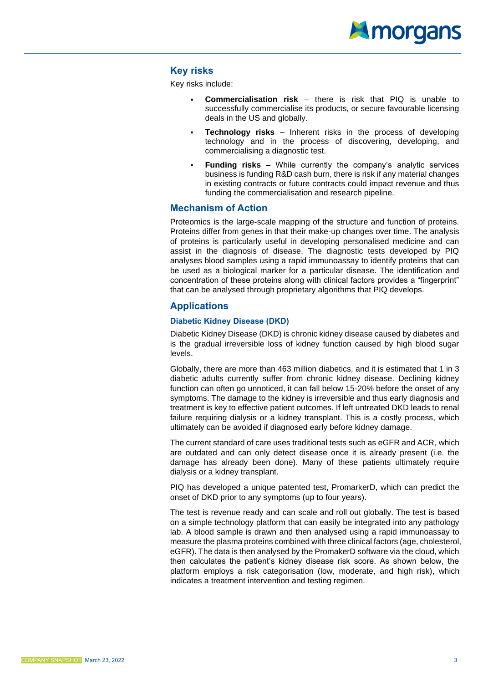

# **Key risks**

Key risks include:

- **Commercialisation risk** there is risk that PIQ is unable to successfully commercialise its products, or secure favourable licensing deals in the US and globally.
- **Technology risks** Inherent risks in the process of developing technology and in the process of discovering, developing, and commercialising a diagnostic test.
- **Funding risks** While currently the company's analytic services business is funding R&D cash burn, there is risk if any material changes in existing contracts or future contracts could impact revenue and thus funding the commercialisation and research pipeline.

# **Mechanism of Action**

Proteomics is the large-scale mapping of the structure and function of proteins. Proteins differ from genes in that their make-up changes over time. The analysis of proteins is particularly useful in developing personalised medicine and can assist in the diagnosis of disease. The diagnostic tests developed by PIQ analyses blood samples using a rapid immunoassay to identify proteins that can be used as a biological marker for a particular disease. The identification and concentration of these proteins along with clinical factors provides a "fingerprint" that can be analysed through proprietary algorithms that PIQ develops.

# **Applications**

# **Diabetic Kidney Disease (DKD)**

Diabetic Kidney Disease (DKD) is chronic kidney disease caused by diabetes and is the gradual irreversible loss of kidney function caused by high blood sugar levels.

Globally, there are more than 463 million diabetics, and it is estimated that 1 in 3 diabetic adults currently suffer from chronic kidney disease. Declining kidney function can often go unnoticed, it can fall below 15-20% before the onset of any symptoms. The damage to the kidney is irreversible and thus early diagnosis and treatment is key to effective patient outcomes. If left untreated DKD leads to renal failure requiring dialysis or a kidney transplant. This is a costly process, which ultimately can be avoided if diagnosed early before kidney damage.

The current standard of care uses traditional tests such as eGFR and ACR, which are outdated and can only detect disease once it is already present (i.e. the damage has already been done). Many of these patients ultimately require dialysis or a kidney transplant.

PIQ has developed a unique patented test, PromarkerD, which can predict the onset of DKD prior to any symptoms (up to four years).

The test is revenue ready and can scale and roll out globally. The test is based on a simple technology platform that can easily be integrated into any pathology lab. A blood sample is drawn and then analysed using a rapid immunoassay to measure the plasma proteins combined with three clinical factors (age, cholesterol, eGFR). The data is then analysed by the PromakerD software via the cloud, which then calculates the patient's kidney disease risk score. As shown below, the platform employs a risk categorisation (low, moderate, and high risk), which indicates a treatment intervention and testing regimen.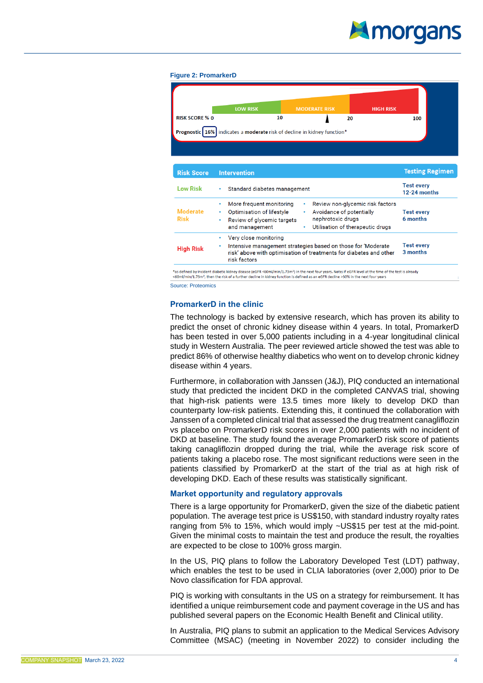# Amorgans

#### **Figure 2: PromarkerD**

|                                | <b>LOW RISK</b>                                                                                                                 | <b>MODERATE RISK</b>                                                                   | <b>HIGH RISK</b>                 |                                   |
|--------------------------------|---------------------------------------------------------------------------------------------------------------------------------|----------------------------------------------------------------------------------------|----------------------------------|-----------------------------------|
| <b>RISK SCORE % 0</b>          | 10                                                                                                                              | 20                                                                                     |                                  | 100                               |
|                                | Prognostic   16%   indicates a moderate risk of decline in kidney function*                                                     |                                                                                        |                                  |                                   |
| <b>Risk Score</b>              | <b>Intervention</b>                                                                                                             |                                                                                        |                                  | <b>Testing Regimen</b>            |
| <b>Low Risk</b>                | Standard diabetes management<br>۰                                                                                               |                                                                                        |                                  | <b>Test every</b><br>12-24 months |
| <b>Moderate</b><br><b>Risk</b> | More frequent monitoring<br>$\bullet$<br>Optimisation of lifestyle<br>Review of glycemic targets<br>$\bullet$<br>and management | Avoidance of potentially<br>nephrotoxic drugs<br>Utilisation of therapeutic drugs<br>۰ | Review non-glycemic risk factors | <b>Test every</b><br>6 months     |
|                                | Very close monitoring<br>$\bullet$<br>Intensive management strategies based on those for 'Moderate                              |                                                                                        |                                  | <b>Test every</b><br>3 months     |

Source: Proteomics

# **PromarkerD in the clinic**

The technology is backed by extensive research, which has proven its ability to predict the onset of chronic kidney disease within 4 years. In total, PromarkerD has been tested in over 5,000 patients including in a 4-year longitudinal clinical study in Western Australia. The peer reviewed article showed the test was able to predict 86% of otherwise healthy diabetics who went on to develop chronic kidney disease within 4 years.

Furthermore, in collaboration with Janssen (J&J), PIQ conducted an international study that predicted the incident DKD in the completed CANVAS trial, showing that high-risk patients were 13.5 times more likely to develop DKD than counterparty low-risk patients. Extending this, it continued the collaboration with Janssen of a completed clinical trial that assessed the drug treatment canagliflozin vs placebo on PromarkerD risk scores in over 2,000 patients with no incident of DKD at baseline. The study found the average PromarkerD risk score of patients taking canagliflozin dropped during the trial, while the average risk score of patients taking a placebo rose. The most significant reductions were seen in the patients classified by PromarkerD at the start of the trial as at high risk of developing DKD. Each of these results was statistically significant.

# **Market opportunity and regulatory approvals**

There is a large opportunity for PromarkerD, given the size of the diabetic patient population. The average test price is US\$150, with standard industry royalty rates ranging from 5% to 15%, which would imply ~US\$15 per test at the mid-point. Given the minimal costs to maintain the test and produce the result, the royalties are expected to be close to 100% gross margin.

In the US, PIQ plans to follow the Laboratory Developed Test (LDT) pathway, which enables the test to be used in CLIA laboratories (over 2,000) prior to De Novo classification for FDA approval.

PIQ is working with consultants in the US on a strategy for reimbursement. It has identified a unique reimbursement code and payment coverage in the US and has published several papers on the Economic Health Benefit and Clinical utility.

In Australia, PIQ plans to submit an application to the Medical Services Advisory Committee (MSAC) (meeting in November 2022) to consider including the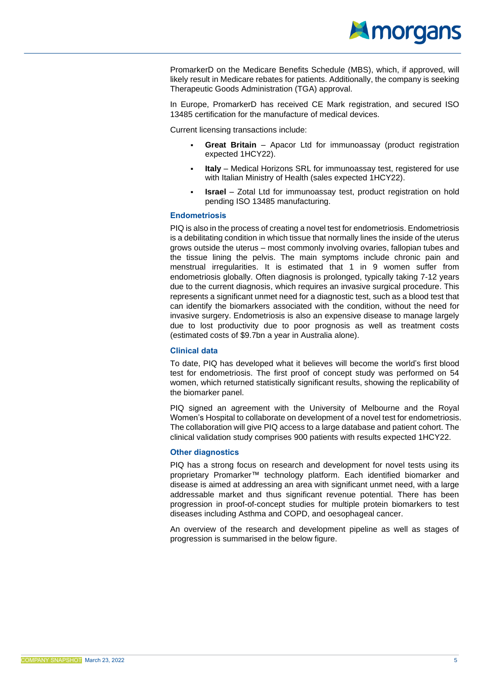

PromarkerD on the Medicare Benefits Schedule (MBS), which, if approved, will likely result in Medicare rebates for patients. Additionally, the company is seeking Therapeutic Goods Administration (TGA) approval.

In Europe, PromarkerD has received CE Mark registration, and secured ISO 13485 certification for the manufacture of medical devices.

Current licensing transactions include:

- **Great Britain** Apacor Ltd for immunoassay (product registration expected 1HCY22).
- **Italy** Medical Horizons SRL for immunoassay test, registered for use with Italian Ministry of Health (sales expected 1HCY22).
- **Israel** Zotal Ltd for immunoassay test, product registration on hold pending ISO 13485 manufacturing.

# **Endometriosis**

PIQ is also in the process of creating a novel test for endometriosis. Endometriosis is a debilitating condition in which tissue that normally lines the inside of the uterus grows outside the uterus – most commonly involving ovaries, fallopian tubes and the tissue lining the pelvis. The main symptoms include chronic pain and menstrual irregularities. It is estimated that 1 in 9 women suffer from endometriosis globally. Often diagnosis is prolonged, typically taking 7-12 years due to the current diagnosis, which requires an invasive surgical procedure. This represents a significant unmet need for a diagnostic test, such as a blood test that can identify the biomarkers associated with the condition, without the need for invasive surgery. Endometriosis is also an expensive disease to manage largely due to lost productivity due to poor prognosis as well as treatment costs (estimated costs of \$9.7bn a year in Australia alone).

# **Clinical data**

To date, PIQ has developed what it believes will become the world's first blood test for endometriosis. The first proof of concept study was performed on 54 women, which returned statistically significant results, showing the replicability of the biomarker panel.

PIQ signed an agreement with the University of Melbourne and the Royal Women's Hospital to collaborate on development of a novel test for endometriosis. The collaboration will give PIQ access to a large database and patient cohort. The clinical validation study comprises 900 patients with results expected 1HCY22.

# **Other diagnostics**

PIQ has a strong focus on research and development for novel tests using its proprietary Promarker™ technology platform. Each identified biomarker and disease is aimed at addressing an area with significant unmet need, with a large addressable market and thus significant revenue potential. There has been progression in proof-of-concept studies for multiple protein biomarkers to test diseases including Asthma and COPD, and oesophageal cancer.

An overview of the research and development pipeline as well as stages of progression is summarised in the below figure.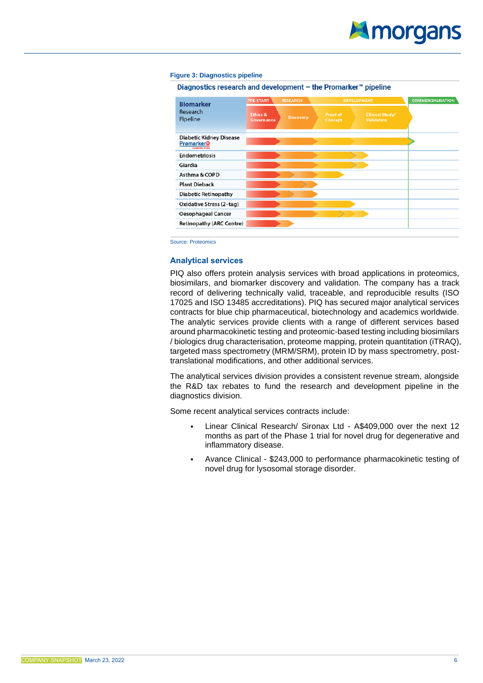# **Figure 3: Diagnostics pipeline**

Diagnostics research and development - the Promarker<sup>™</sup> pipeline

| <b>Biomarker</b><br>Research<br>Pipeline                              | <b>PRE-START</b><br><b>RESEARCH</b> |                  | <b>DEVELOPMENT</b>                                                 | <b>COMMERCIALISATION</b> |
|-----------------------------------------------------------------------|-------------------------------------|------------------|--------------------------------------------------------------------|--------------------------|
|                                                                       | <b>Ethics &amp;</b><br>Governance   | <b>Discovery</b> | Proof of<br><b>Clinical Study/</b><br><b>Validation</b><br>Concept |                          |
| <b>Diabetic Kidney Disease</b><br>PromarkerD<br><b>CHANGING LIVES</b> |                                     |                  |                                                                    |                          |
| <b>Endometriosis</b>                                                  |                                     |                  |                                                                    |                          |
| Giardia                                                               |                                     |                  |                                                                    |                          |
| Asthma & COPD                                                         |                                     |                  |                                                                    |                          |
| <b>Plant Dieback</b>                                                  |                                     |                  |                                                                    |                          |
| <b>Diabetic Retinopathy</b>                                           |                                     |                  |                                                                    |                          |
| Oxidative Stress (2-tag)                                              |                                     |                  |                                                                    |                          |
| <b>Oesophageal Cancer</b>                                             |                                     |                  |                                                                    |                          |
| <b>Retinopathy (ARC Centre)</b>                                       |                                     |                  |                                                                    |                          |

Source: Proteomics

# **Analytical services**

PIQ also offers protein analysis services with broad applications in proteomics, biosimilars, and biomarker discovery and validation. The company has a track record of delivering technically valid, traceable, and reproducible results (ISO 17025 and ISO 13485 accreditations). PIQ has secured major analytical services contracts for blue chip pharmaceutical, biotechnology and academics worldwide. The analytic services provide clients with a range of different services based around pharmacokinetic testing and proteomic-based testing including biosimilars / biologics drug characterisation, proteome mapping, protein quantitation (iTRAQ), targeted mass spectrometry (MRM/SRM), protein ID by mass spectrometry, posttranslational modifications, and other additional services.

The analytical services division provides a consistent revenue stream, alongside the R&D tax rebates to fund the research and development pipeline in the diagnostics division.

Some recent analytical services contracts include:

- Linear Clinical Research/ Sironax Ltd A\$409,000 over the next 12 months as part of the Phase 1 trial for novel drug for degenerative and inflammatory disease.
- Avance Clinical \$243,000 to performance pharmacokinetic testing of novel drug for lysosomal storage disorder.